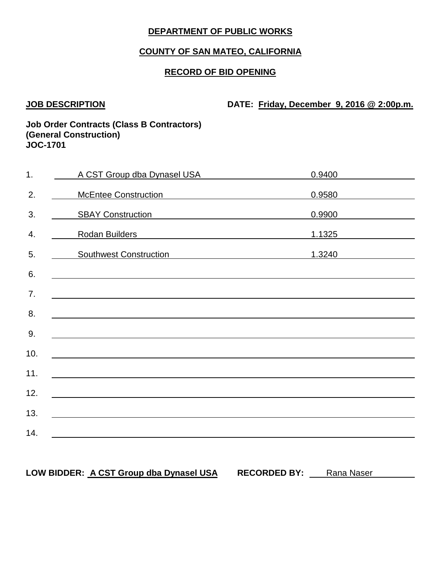# **COUNTY OF SAN MATEO, CALIFORNIA**

## **RECORD OF BID OPENING**

**JOB DESCRIPTION DATE: Friday, December 9, 2016 @ 2:00p.m.**

#### **Job Order Contracts (Class B Contractors) (General Construction) JOC-1701**

| $\overline{1}$ . | A CST Group dba Dynasel USA                                                                                           | 0.9400 |
|------------------|-----------------------------------------------------------------------------------------------------------------------|--------|
| 2.               | McEntee Construction<br><u>Letter</u> 2016                                                                            | 0.9580 |
| 3.               | SBAY Construction<br>SBAY Construction                                                                                | 0.9900 |
| 4.               | Rodan Builders<br><u> 1980 - Johann Barbara, martxa alemaniar arg</u>                                                 | 1.1325 |
| 5.               | <b>Southwest Construction</b>                                                                                         | 1.3240 |
| 6.               |                                                                                                                       |        |
| 7.               | <u> 1989 - Johann Stein, marwolaethau a bhann an t-Amhain ann an t-Amhain an t-Amhain an t-Amhain an t-Amhain an </u> |        |
| 8.               |                                                                                                                       |        |
| 9.               |                                                                                                                       |        |
| 10.              |                                                                                                                       |        |
| 11.              |                                                                                                                       |        |
| 12.              |                                                                                                                       |        |
| 13.              |                                                                                                                       |        |
| 14.              | <u> 1980 - Johann Johann Stoff, deutscher Stoff, der Stoff, der Stoff, der Stoff, der Stoff, der Stoff, der Stoff</u> |        |
|                  |                                                                                                                       |        |

# LOW BIDDER: **A CST Group dba Dynasel USA** RECORDED BY: Rana Naser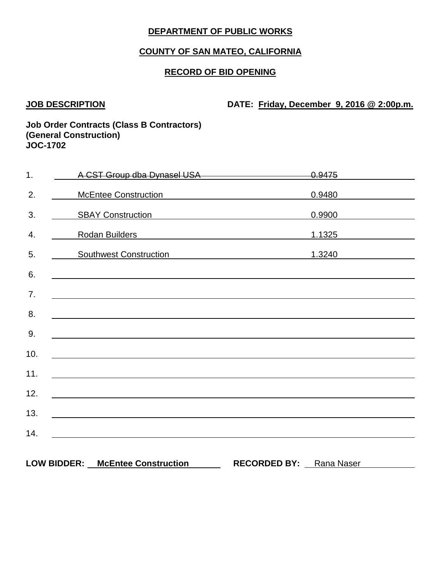# **COUNTY OF SAN MATEO, CALIFORNIA**

## **RECORD OF BID OPENING**

**JOB DESCRIPTION DATE: Friday, December 9, 2016 @ 2:00p.m.**

#### **Job Order Contracts (Class B Contractors) (General Construction) JOC-1702**

| 1.  | A CST Group dba Dynasel USA <b>CONVERTS A CST</b> Group dba Dynasel USA          | <del>0.9475</del>              |        |
|-----|----------------------------------------------------------------------------------|--------------------------------|--------|
| 2.  | McEntee Construction<br>McEntee Construction                                     | 0.9480                         |        |
| 3.  | SBAY Construction<br>SBAY Construction                                           |                                | 0.9900 |
| 4.  | Rodan Builders <b>Constanting Community</b> Research                             |                                | 1.1325 |
| 5.  | Southwest Construction 1.3240                                                    |                                |        |
| 6.  |                                                                                  |                                |        |
| 7.  |                                                                                  |                                |        |
| 8.  |                                                                                  |                                |        |
| 9.  | ,我们也不会有一个人的人,我们也不会有一个人的人,我们也不会有一个人的人。""我们,我们也不会有一个人的人,我们也不会有一个人的人,我们也不会有一个人的人,我们 |                                |        |
| 10. |                                                                                  |                                |        |
| 11. |                                                                                  |                                |        |
| 12. |                                                                                  |                                |        |
| 13. |                                                                                  |                                |        |
| 14. |                                                                                  |                                |        |
|     |                                                                                  |                                |        |
|     | LOW BIDDER: McEntee Construction                                                 | <b>RECORDED BY:</b> Rana Naser |        |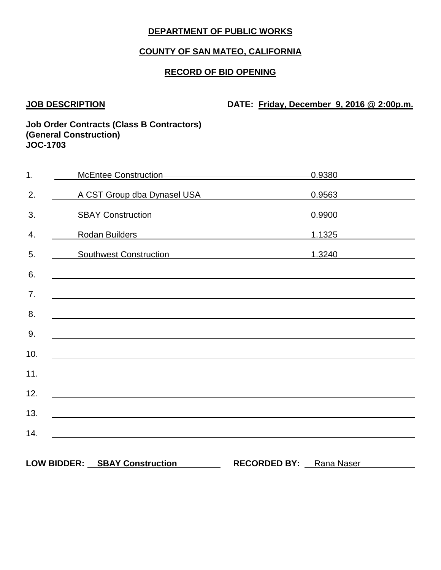## **COUNTY OF SAN MATEO, CALIFORNIA**

### **RECORD OF BID OPENING**

**JOB DESCRIPTION DATE: Friday, December 9, 2016 @ 2:00p.m.**

#### **Job Order Contracts (Class B Contractors) (General Construction) JOC-1703**

| 1.  | McEntee Construction McEntee Construction                                                                                                                                                                                            | <del>0.9380</del>       |
|-----|--------------------------------------------------------------------------------------------------------------------------------------------------------------------------------------------------------------------------------------|-------------------------|
| 2.  | A CST Group dba Dynasel USA and the control of the CST Group dba Dynasel USA                                                                                                                                                         |                         |
| 3.  | SBAY Construction<br>SBAY Construction                                                                                                                                                                                               | 0.9900                  |
| 4.  | Rodan Builders <b>Constantine Constantine Constantine Constantine Constantine Constantine Constantine Constantine Constantine Constantine Constantine Constantine Constantine Constantine Constantine Constantine Constantine Co</b> | 1.1325                  |
| 5.  | Southwest Construction <b>Southwest Construction</b>                                                                                                                                                                                 | 1.3240                  |
| 6.  |                                                                                                                                                                                                                                      |                         |
| 7.  | <u> 1989 - Johann John Stone, markin film yn y brenin y brenin y brenin y brenin y brenin y brenin y brenin y br</u>                                                                                                                 |                         |
| 8.  |                                                                                                                                                                                                                                      |                         |
| 9.  |                                                                                                                                                                                                                                      |                         |
| 10. |                                                                                                                                                                                                                                      |                         |
| 11. | <u> 1980 - Johann Barbara, martxa alemaniar argametar a martxa a shekara a shekara a shekara a shekara a shekara</u>                                                                                                                 |                         |
| 12. |                                                                                                                                                                                                                                      |                         |
| 13. |                                                                                                                                                                                                                                      |                         |
| 14. |                                                                                                                                                                                                                                      |                         |
|     | <u>and the control of the control of the control of the control of the control of the control of the control of</u>                                                                                                                  |                         |
|     | LOW BIDDER: SBAY Construction                                                                                                                                                                                                        | RECORDED BY: Rana Naser |